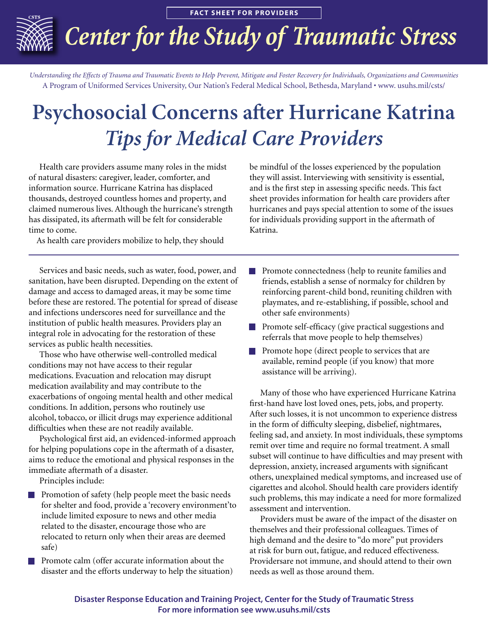**FACT SHEET FOR PROVIDERS** 

## *Center for the Study of Traumatic Stress*

*Understanding the Effects of Trauma and Traumatic Events to Help Prevent, Mitigate and Foster Recovery for Individuals, Organizations and Communities* A Program of Uniformed Services University, Our Nation's Federal Medical School, Bethesda, Maryland • www. usuhs.mil/csts/

## **Psychosocial Concerns after Hurricane Katrina** *Tips for Medical Care Providers*

 Health care providers assume many roles in the midst of natural disasters: caregiver, leader, comforter, and information source. Hurricane Katrina has displaced thousands, destroyed countless homes and property, and claimed numerous lives. Although the hurricane's strength has dissipated, its aftermath will be felt for considerable time to come.

As health care providers mobilize to help, they should

 Services and basic needs, such as water, food, power, and sanitation, have been disrupted. Depending on the extent of damage and access to damaged areas, it may be some time before these are restored. The potential for spread of disease and infections underscores need for surveillance and the institution of public health measures. Providers play an integral role in advocating for the restoration of these services as public health necessities.

 Those who have otherwise well-controlled medical conditions may not have access to their regular medications. Evacuation and relocation may disrupt medication availability and may contribute to the exacerbations of ongoing mental health and other medical conditions. In addition, persons who routinely use alcohol, tobacco, or illicit drugs may experience additional difficulties when these are not readily available.

 Psychological first aid, an evidenced-informed approach for helping populations cope in the aftermath of a disaster, aims to reduce the emotional and physical responses in the immediate aftermath of a disaster.

Principles include:

- Promotion of safety (help people meet the basic needs for shelter and food, provide a 'recovery environment'to include limited exposure to news and other media related to the disaster, encourage those who are relocated to return only when their areas are deemed safe)
- Promote calm (offer accurate information about the disaster and the efforts underway to help the situation)

be mindful of the losses experienced by the population they will assist. Interviewing with sensitivity is essential, and is the first step in assessing specific needs. This fact sheet provides information for health care providers after hurricanes and pays special attention to some of the issues for individuals providing support in the aftermath of Katrina.

- Promote connectedness (help to reunite families and friends, establish a sense of normalcy for children by reinforcing parent-child bond, reuniting children with playmates, and re-establishing, if possible, school and other safe environments)
- Promote self-efficacy (give practical suggestions and referrals that move people to help themselves)
- Promote hope (direct people to services that are available, remind people (if you know) that more assistance will be arriving).

 Many of those who have experienced Hurricane Katrina first-hand have lost loved ones, pets, jobs, and property. After such losses, it is not uncommon to experience distress in the form of difficulty sleeping, disbelief, nightmares, feeling sad, and anxiety. In most individuals, these symptoms remit over time and require no formal treatment. A small subset will continue to have difficulties and may present with depression, anxiety, increased arguments with significant others, unexplained medical symptoms, and increased use of cigarettes and alcohol. Should health care providers identify such problems, this may indicate a need for more formalized assessment and intervention.

 Providers must be aware of the impact of the disaster on themselves and their professional colleagues. Times of high demand and the desire to "do more" put providers at risk for burn out, fatigue, and reduced effectiveness. Providersare not immune, and should attend to their own needs as well as those around them.